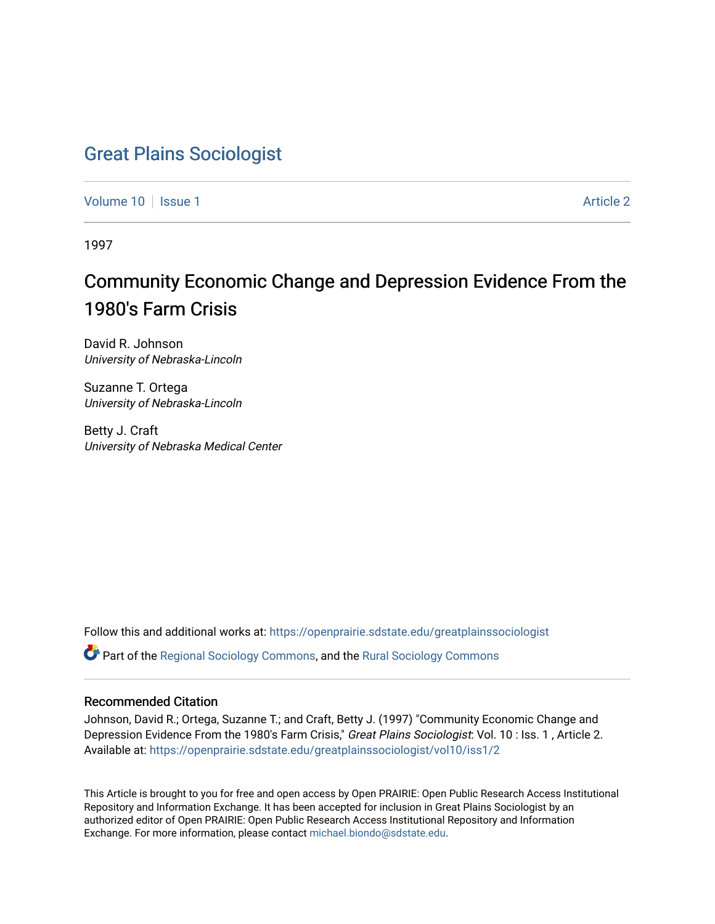# [Great Plains Sociologist](https://openprairie.sdstate.edu/greatplainssociologist)

[Volume 10](https://openprairie.sdstate.edu/greatplainssociologist/vol10) | [Issue 1](https://openprairie.sdstate.edu/greatplainssociologist/vol10/iss1) Article 2

1997

# Community Economic Change and Depression Evidence From the 1980's Farm Crisis

David R. Johnson University of Nebraska-Lincoln

Suzanne T. Ortega University of Nebraska-Lincoln

Betty J. Craft University of Nebraska Medical Center

Follow this and additional works at: [https://openprairie.sdstate.edu/greatplainssociologist](https://openprairie.sdstate.edu/greatplainssociologist?utm_source=openprairie.sdstate.edu%2Fgreatplainssociologist%2Fvol10%2Fiss1%2F2&utm_medium=PDF&utm_campaign=PDFCoverPages) 

Part of the [Regional Sociology Commons](http://network.bepress.com/hgg/discipline/427?utm_source=openprairie.sdstate.edu%2Fgreatplainssociologist%2Fvol10%2Fiss1%2F2&utm_medium=PDF&utm_campaign=PDFCoverPages), and the [Rural Sociology Commons](http://network.bepress.com/hgg/discipline/428?utm_source=openprairie.sdstate.edu%2Fgreatplainssociologist%2Fvol10%2Fiss1%2F2&utm_medium=PDF&utm_campaign=PDFCoverPages) 

### Recommended Citation

Johnson, David R.; Ortega, Suzanne T.; and Craft, Betty J. (1997) "Community Economic Change and Depression Evidence From the 1980's Farm Crisis," Great Plains Sociologist: Vol. 10 : Iss. 1, Article 2. Available at: [https://openprairie.sdstate.edu/greatplainssociologist/vol10/iss1/2](https://openprairie.sdstate.edu/greatplainssociologist/vol10/iss1/2?utm_source=openprairie.sdstate.edu%2Fgreatplainssociologist%2Fvol10%2Fiss1%2F2&utm_medium=PDF&utm_campaign=PDFCoverPages)

This Article is brought to you for free and open access by Open PRAIRIE: Open Public Research Access Institutional Repository and Information Exchange. It has been accepted for inclusion in Great Plains Sociologist by an authorized editor of Open PRAIRIE: Open Public Research Access Institutional Repository and Information Exchange. For more information, please contact [michael.biondo@sdstate.edu.](mailto:michael.biondo@sdstate.edu)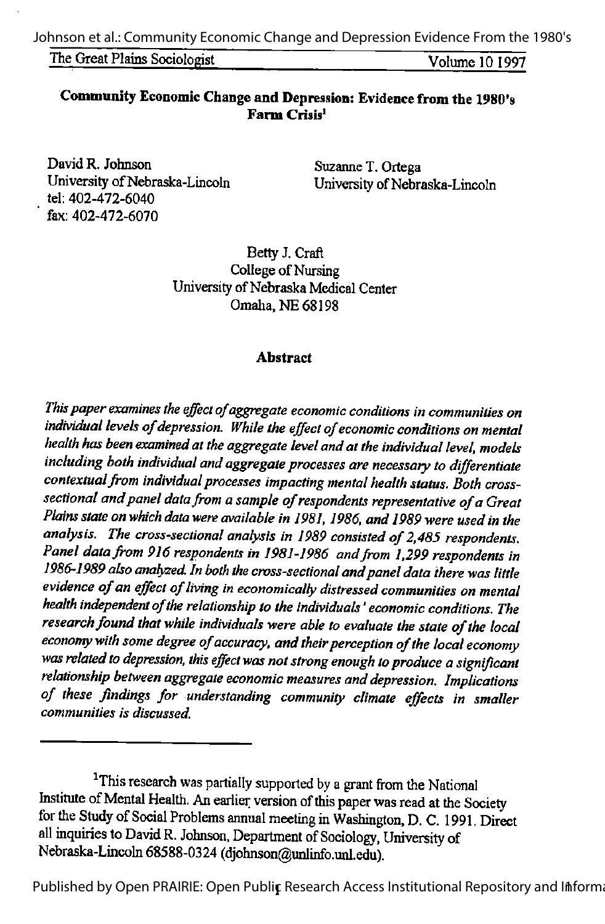The Great Plains Sociologist Volume 10 1997

# Community Economic Changeand Depression: Evidence from the 1980's Farm Crisis'

David R. Johnson Suzanne T. Ortega<br>University of Nebraska-Lincoln Iniversity of Nebra tel: 402-472-6040 fax: 402-472-6070

University of Nebraska-Lincoln

Betty J. Craft College of Nursing University of Nebraska Medical Center Omaha, NE 68198

#### **Abstract**

This paper examines the effect of aggregate economic conditions in communities on individual levels of depression. While the effect of economic conditions on mental health has been examined at the aggregate level and at the individual level, models including both individual and aggregate processes are necessary to differentiate contextual from individual processes impacting mental health status. Both crosssectional and panel data from a sample of respondents representative of a Great Plains state on which data were available in 1981, 1986, and 1989 were used in the analysis. The cross-sectional analysis in 1989 consisted of 2,485 respondents. Panel data from 916 respondents in 1981-1986 and from 1,299 respondents in 1986-1989 also analyzed. In both the cross-sectional and panel data there was little evidence of an effect of living in economically distressed communities on mental health independent of the relationship to the individuals' economic conditions. The research found that while individuals were able to evaluate the state of the local economy with some degree of accuracy, and their perception of the local economy was related to depression, this effect was not strong enough to produce a significant relationship between aggregate economic measures and depression. Implications of these findings for understanding community climate effects in smaller communities is discussed.

Published by Open PRAIRIE: Open Publir Research Access Institutional Repository and Informa

<sup>&</sup>lt;sup>1</sup>This research was partially supported by a grant from the National Institute of Mental Health. An earlier version of this paper was read at the Society for the Study of Social Problems annual meeting in Washington, D. C. 1991. Direct all inquiries to David R. Johnson, Department of Sociology, University of Nebraska-Lincoln 68588-0324 (djohnson@unlinfo.unl.edu).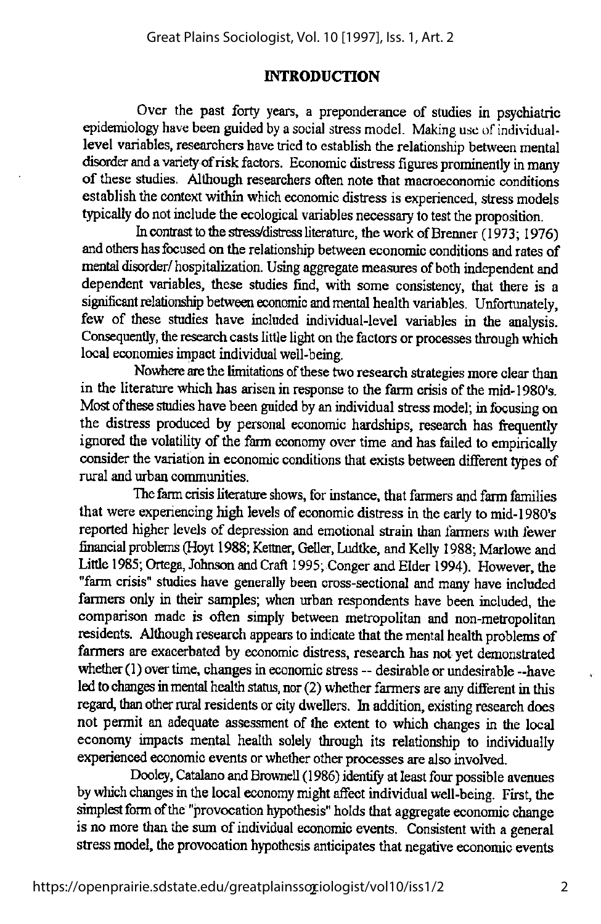#### **INTRODUCTION**

Over the past forty years, a preponderance of studies in psychiatric epidemiology have been guided by a social stress model. Making use of individuallevel variables, researchers have tried to establish the relationship between mental disorder and a variety of risk factors. Economic distress figures prominently in many of these studies. Although researchers often note that macroeconomic conditions establish the context within which economic distress is experienced, stress models typically do not include the ecological variables necessary to test the proposition.

In contrast to the stress/distress literature, the work of Brenner (1973; 1976) and others has focused on the relationship between economic conditions and rates of mental disorder/ hospitalization. Using aggregate measures of both independent and dependent variables, these studies find, with some consistency, that there is a significant relationship between economic and mental health variables. Unfortunately, few of these studies have included individual-level variables in the analysis. Consequently, the research casts little light on the factors or processes through which local economies impact individual well-being.

Nowhere are the limitations of these two research strategies more clear than in the literature which has arisen in response to the farm crisis of the mid-1980's. Most of these studies have been guided by an individual stress model; in focusing on the distress produced by personal economic hardships, research has fiequently ignored the volatility of the farm economy over time and has failed to empirically consider the variation in economic conditions that exists between different types of rural and urban communities.

The farm crisis literature shows, for instance, that farmers and farm families that were experiencing high levels of economic distress in the early to mid-1980's reported higher levels of depression and emotional strain than farmers with fewer financial problems (Hovt 1988; Kettner, Geller, Ludtke, and Kelly 1988; Marlowe and Little 1985; Ortega, Johnson and Craft 1995; Conger and Elder 1994). However, the "farm crisis" studies have generally been cross-sectional and many have included farmers only in their samples; when urban respondents have been included, the comparison made is often simply between metropolitan and non-metropolitan residents. Although research appears to indicate that themental health problems of farmers are exacerbated by economic distress, research has not yet demonstrated whether(1) over time, changes in economic stress -- desirable or undesirable --have led to changes in mental health status, nor (2) whether farmers are any different in this regard, than other rural residents or city dwellers. In addition, existing research does not permit an adequate assessment of the extent to which changes in the local economy impacts mental health solely through its relationship to individually experienced economic events or whether other processes are also involved.

Dooley, Catalano and Brownell (1986) identify atleast four possible avenues by which changes in the local economy might affect individual well-being. First, the simplest form of the "provocation hypothesis" holds that aggregate economic change is no more than the sum of individual economic events. Consistent with a general stress model, the provocation hypothesis anticipates that negative economic events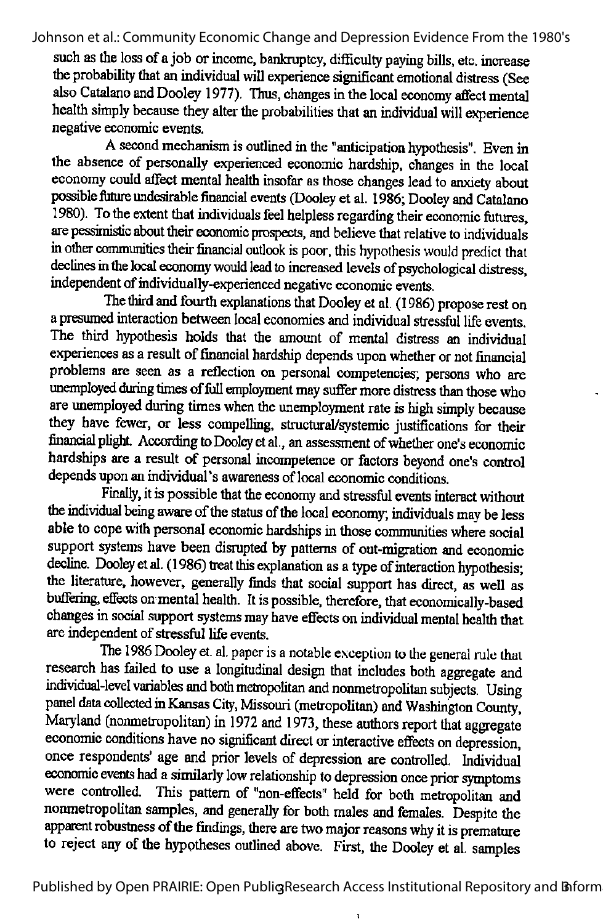such as the loss of a job or income, bankruptcy, difficulty paying bills, etc. increase the probability that an individual will experience significant emotional distress (See also Catalano and Doolev 1977). Thus, changes in the local economy affect mental health simply because they alter the probabilities that an individual will experience negative economic events.

A second mechanism is outlined in the "anticipation hypothesis". Even in the absence of personally experienced economic hardship, changes in the local economy could affect mental health insofar as those changes lead to anxiety about possible future undesirable financial events (Dooley et al. 1986; Dooley and Catalano 1980). To the extent that individualsfeel helpless regarding their economic futures, are pessimistic about their economic prospects, and believe that relative to individuals in other communities their financial outlook is poor, this hypothesis would predict that declines in the local economy would lead to increased levels of psychological distress, independent of individually-experienced negative economic events.

The third and fourth explanations that Dooley et al. (1986) propose rest on a presumed interaction between local economies and individual stressful life events. The third hypothesis holds that the amount of mental distress an individual experiences as a result of financial hardship depends upon whether or not financial problems are seen as a reflection on personal competencies; persons who are unemployed during times of full employment may suffer more distress than those who are unemployed during times when the unemployment rate is high simply because they have fewer, or less compelling, structural/systemic justifications for their financial plight. According to Dooley et al., an assessment of whether one's economic hardships are a result of personal incompetence or factors beyond one's control depends upon an individual's awareness of local economic conditions.

Finally, it is possible that the economy and stressful events interact without the individual being aware of the status of the local economy; individuals may be less able to cope with personal economic hardships in those communities where social support systems have been disrupted by patterns of out-migration and economic decline. Dooley et al. (1986) treat this explanation as a type of interaction hypothesis; the literature, however, generally finds that social support has direct, as well as buffering, effects on mental health. It is possible, therefore, that economically-based changes in social support systems may have effects on individual mental health that are independent of stressful life events.

The 1986 Dooley et. al. paper is a notable exception to the general rule that research has failed to use a longitudinal design that includes both aggregate and individual-level variables and both metropolitan and nonmetropolitan subjects. Using panel data collected in Kansas City, Missouri (metropolitan) and Washington County, Maryland (nonmetropolitan) in 1972 and 1973, these authors report that aggregate economic conditions have no significant direct or interactive effects on depression, once respondents' age and prior levels of depression are controlled. Individual economic events had a similarly low relationship to depression once prior symptoms were controlled. This pattern of "non-effects" held for both metropolitan and nonmetropolitan samples, and generally for both males and females. Despite the apparent robustness of the findings, there are two major reasons why it is premature to reject any of the hypotheses outlined above. First, the Dooley et al. samples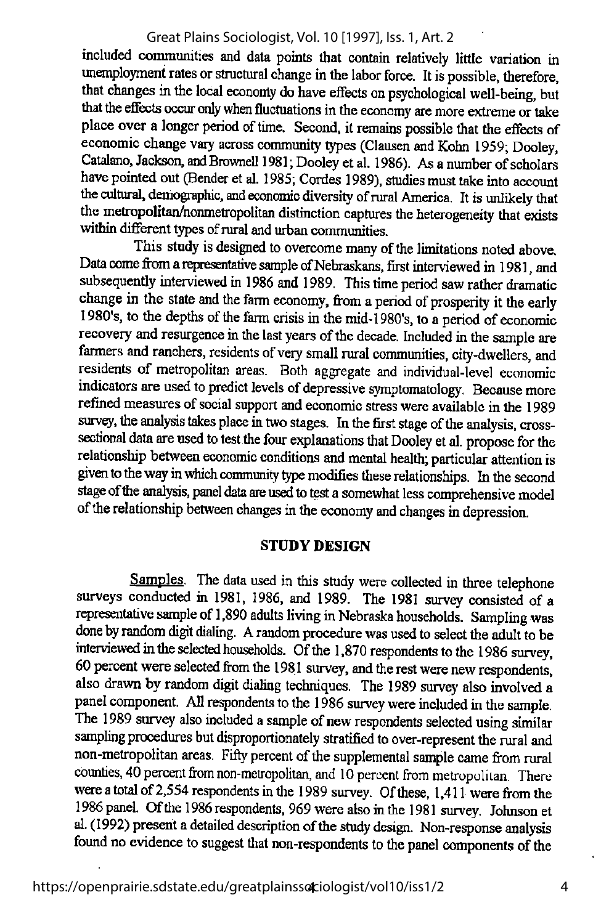included communities and data points that contain relatively little variation in unemployment rates or structural change in the labor force. It is possible, therefore, that changes in the local economy do have effects on psychological well-being, but that the effects occur cmly when fluctuations inthe economy are more extreme ortake place over a longer period of time. Second, it remains possible that the effects of economic change vary across community types (Clausen and Kohn 1959; Dooley, Catalano, Jackson, and Brownell 1981; Dooley et al. 1986). As a number of scholars have pointed out (Bender et al. 1985; Cordes 1989), studies must take into account the cultural, demographic, and economic diversity of rural America. It is unlikely that the metropolitan/nonmetropolitan distinction captures the heterogeneity that exists within different types of rural and urban communities.

This study is designed to overcome many of the limitations noted above. Data come from a representative sample of Nebraskans, first interviewed in 1981, and subsequently interviewed in 1986 and 1989. This time period saw rather dramatic change in the state and the farm economy, from a period of prosperity it the early 1980's, to the depths of the farm crisis in the mid-1980's, to a period of economic recovery and resurgence in the last years of the decade. Included in the sample are farmers and ranchers, residents of very small rural communities, city-dwellers, and residents of metropolitan areas. Both aggregate and individual-level economic indicators are used to predict levels of depressive symptomatology. Because more refined measures of social support and economic stress were available in the 1989 survey, the analysis takes place in two stages. In the first stage of the analysis, crosssectional data are used to test the four explanations that Dooley et al. propose for the relationship between economic conditions and mental health; particular attention is given to the way in which community type modifies these relationships. In the second stage of the analysis, panel data are used to test a somewhat less comprehensive model of the relationship between changes in the economy and changes in depression.

#### STUDY DESIGN

Samples. The data used in this study were collected in three telephone surveys conducted in 1981. 1986, and 1989. The 1981 survey consisted of a representative sample of 1,890 adults living in Nebraska households. Sampling was done by random digit dialing. A random procedure was used to select the adult to be interviewed in the selected households. Of the 1,870 respondents to the 1986 survey, 60 percent were selected from the 1981 survey, and the rest were new respondents, also drawn by random digit dialing techniques. The 1989 survey also involved a panel component. All respondents to the 1986 survey were included in the sample. The 1989 survey also included a sample of new respondents selected using similar sampling procedures but disproportionately stratified to over-represent the rural and non-metropolitan areas. Fifty percent of the supplemental sample came from rural counties, 40 percent from non-metropolitan, and 10 percent from metropolitan. There were a total of 2,554 respondents in the 1989 survey. Of these, 1,411 were from the 1986 panel. Ofthe 1986 respondents, 969 were also inthe 1981 survey. Johnson et al. (1992) present a detailed description of the study design. Non-response analysis found no evidence to suggest that non-respondents to the panel components of the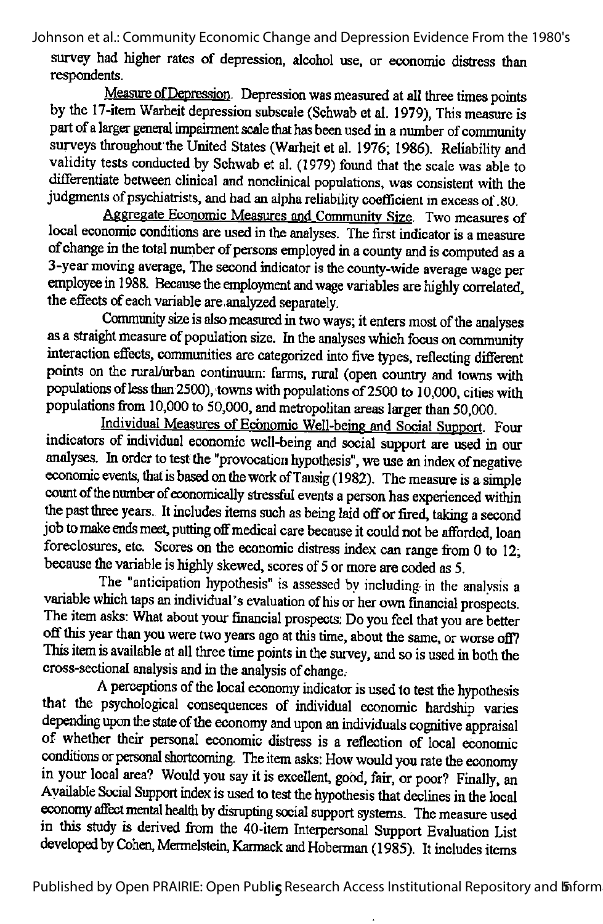survey had higher rates of depression, alcohol use, or economic distress than respondents.

Measure of Depression. Depression was measured at all three times points bythe 17-item Warheit depression subscale (Schwab etal. 1979), This measure is part of a larger general impairment scale that has been used in a number of community surveys throughout the United States (Warheit et al. 1976; 1986). Reliability and validity tests conducted by Schwab et al. (1979) found that the scale was able to differentiate between clinical and nonclinical populations, was consistent with the judgments of psychiatrists, and had an alpha reliability coefficient in excess of 80.

Aggregate Economic Measures and Communitv Size. Two measures of local economic conditions are used in the analyses. The first indicator is a measure of change in the total number of persons employed in a county and is computed as a 3-yearmoving average. The second indicator isthe county-wide average wage per employee in 1988. Because the employment and wage variables are highly correlated, the effects of each variable are, analyzed separately.

Community size is also measured in two ways; it enters most of the analyses as a straight measure of population size. In the analyses which focus on community interaction effects, communities are categorized into five types, reflecting different points on the rural/urban continuum: farms, rural (open country and towns with populations of less than 2500), towns with populations of 2500 to 10,000, cities with populations from 10,000 to 50,000, and metropolitan areas larger than 50,000.

Individual Measures of Economic Well-being and Social Support. Four indicators of individual economic well-being and social support are used in our analyses. In order to test the "provocation hypothesis", we use an index of negative economic events, that is based on the work of Tausig (1982). The measure is a simple count of the number of economically stressful events a person has experienced within the past three years. It includes items such as being laid off or fired, taking a second job to make ends meet, putting off medical care because it could not be afforded, loan foreclosures, etc. Scores on the economic distress index can range from  $0$  to 12; because the variable is highly skewed, scores of 5 or more are coded as 5.

The "anticipation hypothesis" is assessed by including in the analvsis a variable which taps an individual's evaluation of his or her own financial prospects. The item asks: What about your financial prospects: Do you feel that you are better off this year than you were two years ago at this time, about the same, or worse off? This item is available at all three time points in the survey, and so is used in both the cross-sectional analysis and in the analysis of change.<br>A perceptions of the local economy indicator is used to test the hypothesis

that the psychological consequences of individual economic hardship varies depending upon the state of the economy and upon an individuals cognitive appraisal of whether their personal economic distress is a reflection of local economic conditions or personal shortcoming. The item asks: How would you rate the economy in your local area? Would you say it is excellent, good, fair, or poor? Finally, an Available Social Support index is used to test the hypothesis that declines in the local economy affect mental health by disrupting social support systems. The measure used in this study is derived from the 40-item Interpersonal Support Evaluation List developed by Cohen, Mermelstein, Karmack and Hoberman (1985). It includes items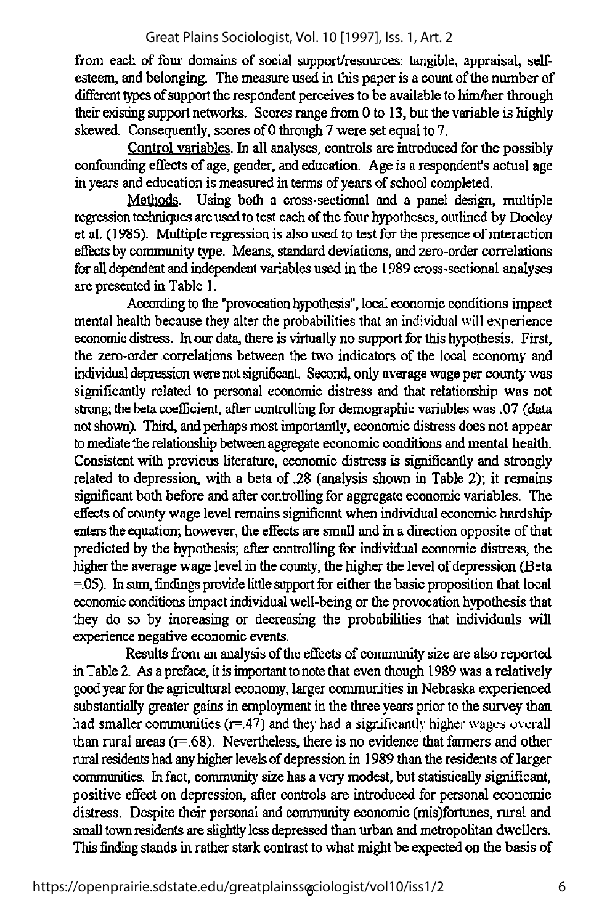from each of four domains of social support/resources: tangible, appraisal, selfesteem, and belonging. The measure used in this paper is a count of the number of different types of support the respondent perceives to be available to him/her through their existing support networks. Scores range from 0 to 13, but the variable is highly skewed. Consequently, scores of 0 through 7 were set equal to 7.

Control variables. In all analyses, controls are introduced for the possibly confounding effects of age, gender, and education. Age is a respondent's actual age in years and education is measured in terms of years of school completed.

Methods. Using both a cross-sectional and a panel design, multiple regression techniques are used to test each of the four hypotheses, outlined by Dooley et al. (1986). Multiple regression is also used to test for the presence ofinteraction effects by community type. Means, standard deviations, and zero-order correlations for all dependent and independent variables used in the 1989 cross-sectional analyses are presentedin Table 1.

According to the "provocation hypothesis", local economic conditions impact mental health because they alter the probabilities that an individual will experience economic distress. In our data, there is virtually no support for this hypothesis. First, the zero-order correlations between the two indicators of the local economy and individual depression were not significant. Second, only average wage per county was significantly related to personal economic distress and that relationship was not strong; the beta coefficient, after controlling for demographic variables was .07 (data not shown). Third, and perhaps most importantly, economic distress does not appear to mediate the relationship between aggregate economic conditions and mental health. Consistent with previous literature, economic distress is significantly and strongly related to depression, with a beta of .28 (analysis shown in Table 2); it remains significant both before and after controlling for aggregate economic variables. The effects of county wage level remains significant when individual economic hardship enters the equation; however, the effects are small and in a direction opposite of that predicted by the hypothesis; after controlling for individual economic distress, the higher the average wage level in the county, the higher the level of depression (Beta  $= 05$ ). In sum, findings provide little support for either the basic proposition that local economic conditions impact individual well-being or the provocation hypothesis that they do so by increasing or decreasing the probabilities that individuals will experience negative economic events.

Results from an analysisof the effects of communitysize are also reported in Table2. As a preface, it isimportant tonotethat even though 1989 was a relatively goodyearforthe agriculturaleconomy,larger communities in Nebraska experienced substantially greater gains in employment in the three years prior to the survey than had smaller communities  $(r=0.47)$  and they had a significantly higher wages overall than rural areas  $(r=.68)$ . Nevertheless, there is no evidence that farmers and other rural residents had any higher levels of depression in 1989 than the residents of larger communities. In fact, community size has a very modest, but statistically significant, positive effect on depression, after controls are introduced for personal economic distress. Despite their personal and community economic(mis)fortunes, rural and small town residents are slightly less depressed than urban and metropolitan dwellers. This finding stands in rather stark contrast to what might be expected on the basis of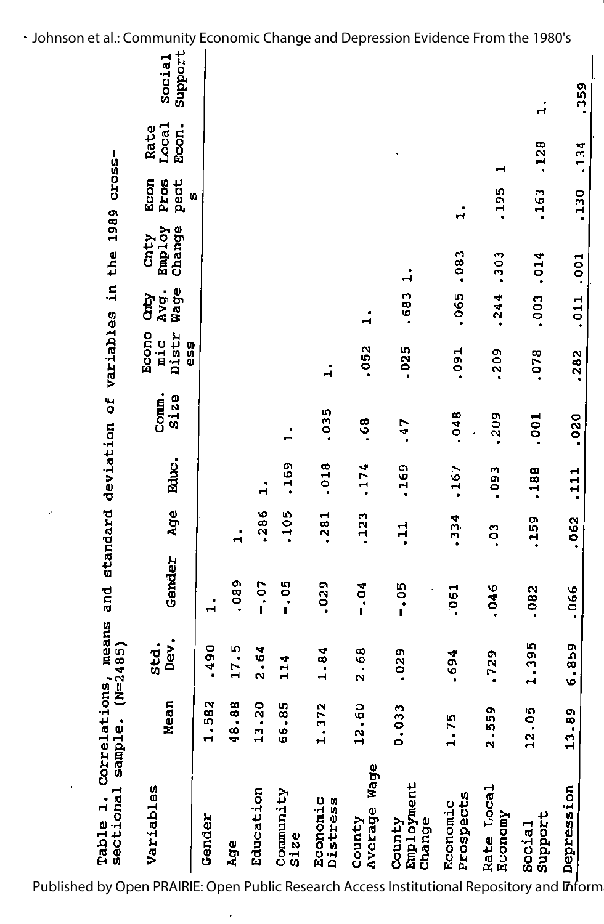| sectional<br>Table 1.          | Correlati<br>sample. | means<br>$(N=2485)$<br>ons, | and           |                |       | standard deviation of variables in the 1989 |                              |                     |                          | cross-                     |                        |                   |
|--------------------------------|----------------------|-----------------------------|---------------|----------------|-------|---------------------------------------------|------------------------------|---------------------|--------------------------|----------------------------|------------------------|-------------------|
| Variables                      | Mean                 | Dev.<br>std.                | Gender        | Age            | Educ. | Comm.<br>Size                               | Econo<br>Distr<br>nic<br>959 | Wage<br>Avg.<br>Ìд  | Employ<br>Change<br>Cnty | Econ<br>Pros<br>pect<br>U) | Local<br>Econ.<br>Rate | Support<br>Social |
| Gender                         | N<br>1.58            | .490                        |               |                |       |                                             |                              |                     |                          |                            |                        |                   |
| Age                            | œ<br>48.8            | 17.5                        | 080.          | $\ddot{ }$     |       |                                             |                              |                     |                          |                            |                        |                   |
| Education                      | 0<br>13.2            | 2.64                        | $-0.7$        | .286           |       |                                             |                              |                     |                          |                            |                        |                   |
| Community<br>Size              | iŋ,<br>56.81         | 114                         | $-0.05$       | .105           | .169  | ٠<br>$\mathbf{\overline{d}}$                |                              |                     |                          |                            |                        |                   |
| Economic<br>Distress           | 1.372                | 1.84                        | .029          | .281           | .018  | .035                                        | $\ddot{ }$                   |                     |                          |                            |                        |                   |
| Wage<br>Average<br>County      | 12.60                | 2.68                        | $\frac{5}{1}$ | .123           | .174  | .68                                         | .052                         | ٠<br>$\blacksquare$ |                          |                            |                        |                   |
| Employment<br>County<br>Change | m<br>0.03            | .029                        | $-0.05$       | $\frac{1}{2}$  | .169  | $-47$                                       | $-025$                       | .683                |                          |                            |                        |                   |
| Prospects<br>Economic          | 1.75                 | .694                        | .061          | .334           | .167  | .048                                        | .091                         | .065                | .083                     | .<br>۲                     |                        |                   |
| Rate Local<br>Economy          | 2.559                | .729                        | 046           | $\overline{0}$ | .093  | .209                                        | .209                         | $-244$              | .303                     | .195                       | ᅱ                      |                   |
| Social<br>Support              | 12.05                | 1.395                       | .082          | .159           | 188   | .001                                        | .078                         | .003                | .014                     | .163                       | .128                   | $\dot{a}$         |
| Depression                     | 13.89                | 6.859                       | .066          | .062           | 111   | 020                                         | .282                         | .011                | .001                     | .130                       | 134                    | .359              |
|                                |                      |                             |               |                |       |                                             |                              |                     |                          |                            |                        |                   |

Published by Open PRAIRIE: Open Public Research Access Institutional Repository and Inform

Johnson et al.: Community Economic Change and Depression Evidence From the 1980's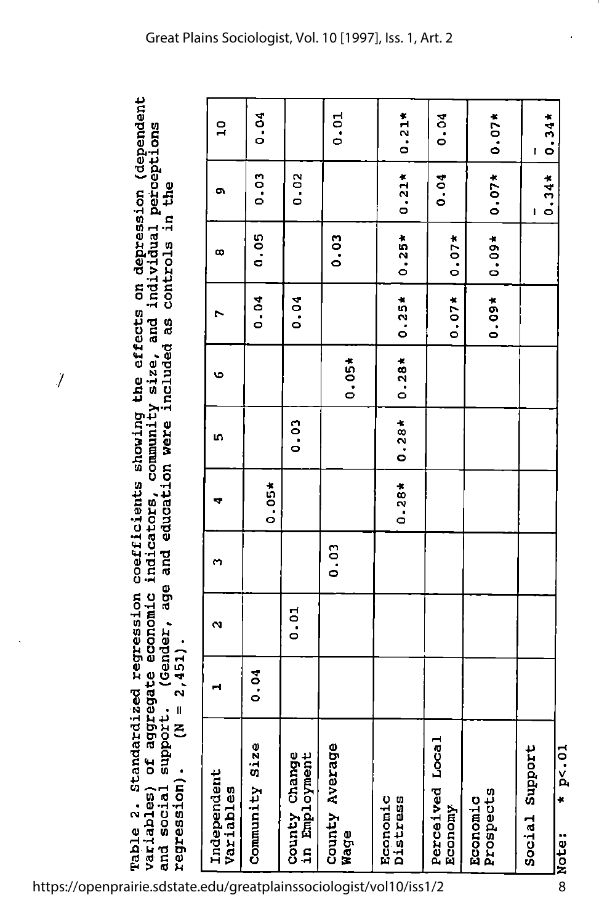the effects on depression (dependent Table 2. Standardiżed regression coefficients showing the effects on depression (dependent<br>Variables) of aggregate economic indicators, community size, and individual perceptions<br>and social support. (Gender, age and educat size, and individual perceptions the q. controls and education were included as community coefficients showing indicators, age aggregate economic Standardized regression (Gender,  $regression)$ .  $(N = 2,451)$ .  $-4511$  $\ddot{\phantom{0}}$  $\mathbf{I}$ support. E **bd** variables) regression) and social Table 2.

 $\hat{J}$ 

| Ϊ,                             | - 1<br>   <br> |                   |      |         |         |         |         |                       |         |                |
|--------------------------------|----------------|-------------------|------|---------|---------|---------|---------|-----------------------|---------|----------------|
| Independent<br>Variables       |                | $\mathbf{\Omega}$ | m    |         | ю       | ဖ       |         | $\boldsymbol{\infty}$ | è       | $\overline{a}$ |
| Community Size                 | 0.04           |                   |      | $0.05*$ |         |         | 0.04    | 0.05                  | 0.03    | 0.04           |
| County Change<br>in Employment |                | 0.01              |      |         | 0.03    |         | 0.04    |                       | 0.02    |                |
| County Average<br>Nage         |                |                   | 0.03 |         |         | $0.05*$ |         | 0.03                  |         | 0.01           |
| Distress<br>Economic           |                |                   |      | $0.28*$ | $0.28*$ | $0.28*$ | $0.25*$ | $0.25*$               | $0.21*$ | $0.21*$        |
| Perceived Local<br>Economy     |                |                   |      |         |         |         | $0.07*$ | $0.07*$               | 0.04    | 0.04           |
| Prospects<br>Economic          |                |                   |      |         |         |         | $0.09*$ | $0.09*$               | $0.07*$ | $0.07*$        |
| Social Support                 |                |                   |      |         |         |         |         |                       | $0.34*$ | $0.34*$<br>ľ   |
| Ē<br>0.<br>P<1<br>Note:        |                |                   |      |         |         |         |         |                       |         |                |

https://openprairie.sdstate.edu/greatplainssociologist/vol10/iss1/2

8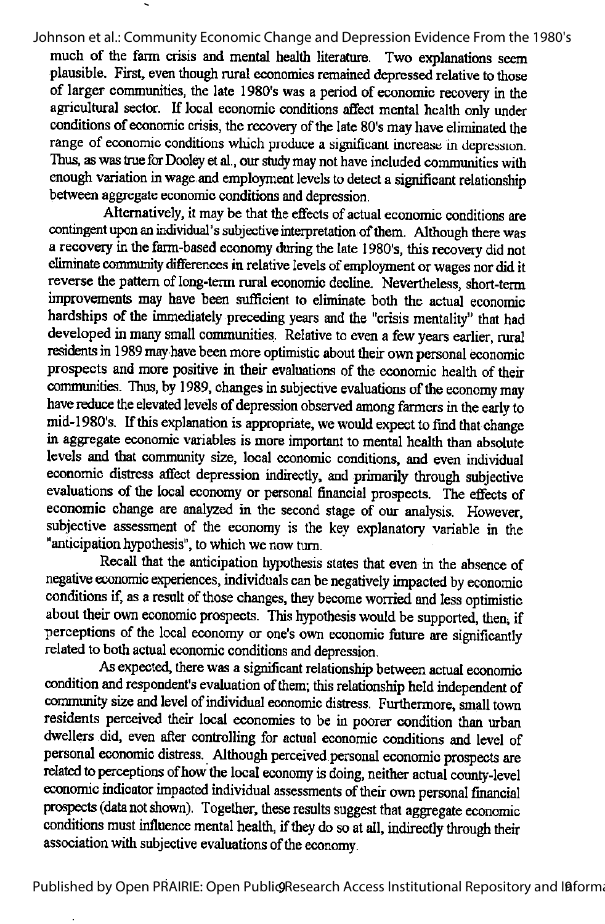much of the farm crisis and mental health literature. Two explanations seem plausible. First, even though rural economies remained depressed relative to those of larger communities, the late 1980's was a period of economic recovery in the agricultural sector. If local economic conditions affect mental health only under conditions of economic crisis, the recovery of the late 80's may have eliminated the range of economic conditions which produce a significant increase in depression. Thus, as was true for Dooley et al., our study may not have included communities with enough variation inwage,and employment levels to detect a significant relationship between aggregate economic conditions and depression.

Alternatively, it may be that the effects of actual economic conditions are contingent upon an individual's subjective interpretation of them. Although there was a recovery inthe farm-based economy during the late 1980's, this recovery did not eliminate community differences in relative levels of employment or wages nor did it reverse the pattern of long-term rural economic decline. Nevertheless, short-term improvements may have been sufficient to eliminate both the actual economic hardships of the immediately preceding years and the "crisis mentality" that had developed in many small communities. Relative to even a few years earlier, rural residents in 1989 may have been more optimistic about their own personal economic prospects and more positive in their evaluations of the economic health of their communities. Thus, by 1989, changes in subjective evaluations of the economy may have reduce the elevated levels of depression observed among farmers in the early to mid-1980's. If this explanation is appropriate, we would expect to find that change in aggregate economic variables is moreimportant to mental health than absolute levels and that community size, local economic conditions, and even individual economic distress affect depression indirectly, and primarily through subjective evaluations of the local economy or personal financial prospects. The effects of economic change are analyzed in the second stage of our analysis. However, subjective assessment of the economy is the key explanatory variable in the "anticipation hypothesis", to which we now turn.

Recall that the anticipation hypothesis states that even in the absence of negative economic experiences, individuals can be negatively impacted by economic conditions if, as a result of those changes, they become worried and less optimistic about their own economic prospects. This hypothesis would be supported, then, if perceptions of the local economy or one's own economic future are significantly related to both actual economic conditions and depression.

As expected, there was a significant relationship between actual economic condition and respondent's evaluation of them; this relationship held independent of community size and level of individual economic distress. Furthermore, small town residents perceived their local economies to be in poorer condition than urban dwellers did, even after controlling for actual economic conditions and level of personal economic distress. Although perceived personal economic prospects are related to perceptions of how the local economy is doing, neither actual county-level economic indicator impacted individual assessments of their own personal financial prospects (data not shown). Together, these results suggest that aggregate economic conditions must influence mental health, if they do so at all, indirectly through their association with subjective evaluations of the economy.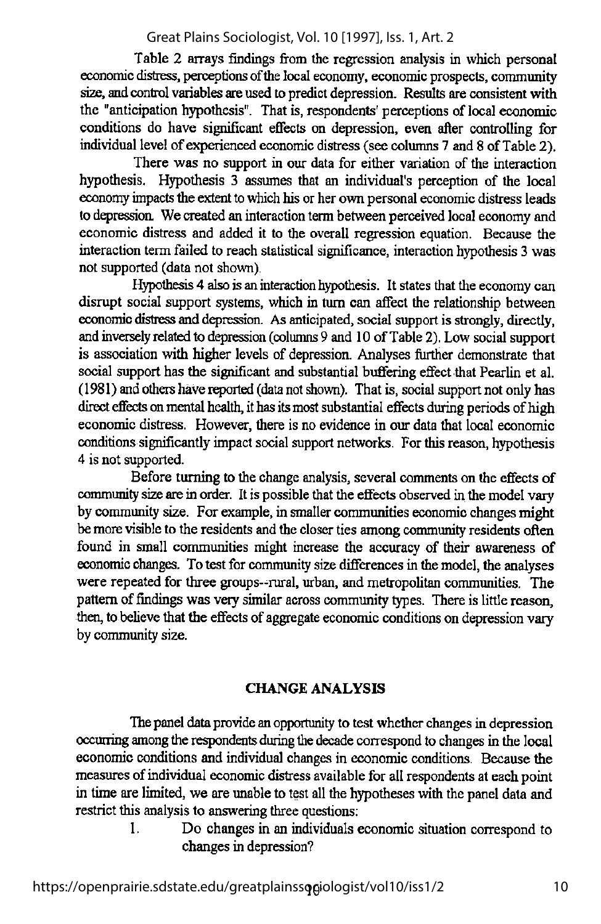Table 2 arrays findings from the regression analysis in which personal economic distress, perceptions of the local economy, economic prospects, community size, and control variables are used to predict depression. Results are consistent with the "anticipation hypothesis". That is, respondents' perceptions of local economic conditions do have significant effects on depression, even after controlling for individual level of experienced economic distress (see columns 7 and 8 of Table 2).

There was no support in our data for either variation of the interaction hypothesis. Hypothesis 3 assumes that an individual's perception of the local economy impacts the extent to which his or her own personal economic distress leads to depression. We created an interaction term between perceived local economy and economic distress and added it to the overall regression equation. Because the interaction tenn failed to reach statistical significance, interaction hypothesis 3 was not supported (data not shown).

Hypothesis 4 also is an interaction hypothesis. It states that the economy can disrupt social support systems, which in turn can affect the relationship between economic distress and depression. As anticipated, social support is strongly, directly, andinversely related to depression (columns 9 and 10 of Table2).Low social support is association with higher levels of depression. Analyses further demonstrate that social support has the significant and substantial buffering effect that Pearlin et al.  $(1981)$  and others have reported (data not shown). That is, social support not only has direct effects on mental health, it has its most substantial effects during periods of high economic distress. However, there is no evidence in our data that local economic conditions significantly impact social support networks. Forthis reason, hypothesis 4 is not supported.

Before turning to the change analysis, several comments on the effects of community size are in order. It is possible that the effects observed in the model vary by community size. For example, in smaller communities economic changes might be more visible to the residents and the closer ties among community residents often found in small communities might increase the accuracy of their awareness of economic changes. To test for community size differences in the model, the analyses were repeated for three groups--rural, urban, and metropolitan communities. The pattern of findings was very similar across community types. There is little reason, then, tobelieve that the effects of aggregate economic conditions on depression vary by communitysize.

#### CHANGE ANALYSIS

The panel data provide an opportunity to test whether changes in depression occurring among the respondents during the decade correspond to changes in the local economic conditions and individual changes in economic conditions. Because the measures of individual economic distress available for all respondents at each point in time are limited, we are unable to test all the hypotheses with the panel data and restrict this analysis to answering three questions:

I. Do changes in an individuals economic situation correspond to changes in depression?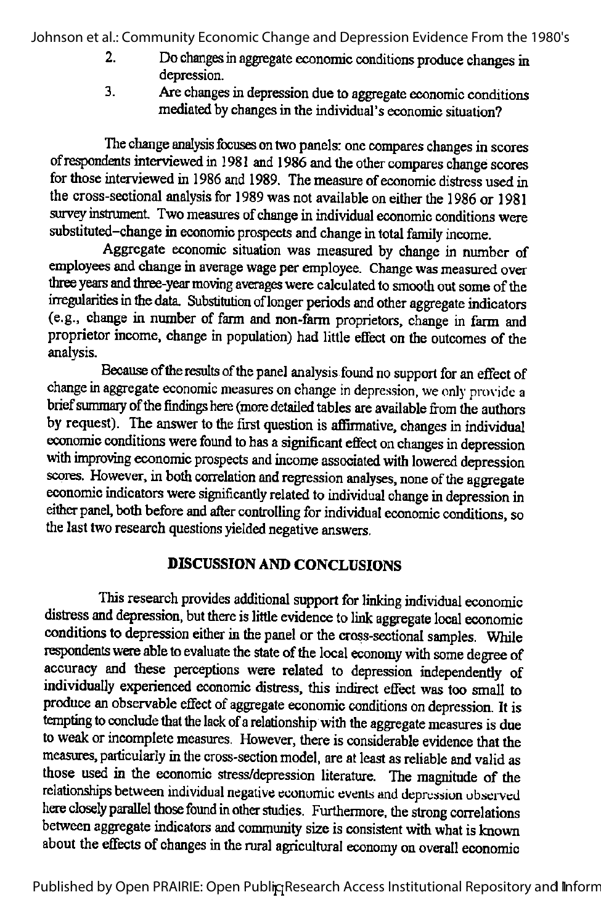- 2. Do changes in aggregate economic conditions produce changes in depression.
- 3. Arechanges indepression dueto aggregate economic conditions mediated by changes in the individual's economic situation?

The change analysis focuses on two panels: one compares changes in scores of respondents interviewed in 1981 and 1986 and the other compares change scores for those interviewed in 1986 and 1989. The measure of economic distress used in the cross-sectional analysis for 1989 was not available on either the 1986 or 1981 survey instrument. Two measures of change in individual economic conditions were substituted-change in economic prospects and change in total family income.

Aggregate economic situation was measured by change in number of employees and change in average wage per employee. Change was measured over three years and three-year moving averages were calculated to smooth out some of the irregularities in the data. Substitution of longer periods and other aggregate indicators (e.g., change in number of farm and non-farm proprietors, change in farm and proprietor income, change in population) had little effect on the outcomes of the analysis.

Because of the results of the panel analysis found no support for an effect of change in aggregate economic measures on change in depression, we only provide a brief summary of the findings here (more detailed tables are available from the authors by request). The answer to the first question is affirmative, changes in individual economic conditions were found to has asignificant effect onchanges indepression with improving economic prospects and income associated with lowered depression scores. However, in both correlation and regression analyses, none of the aggregate economic indicators were significantly related to individual change in depression in either panel, both before and after controlling for individual economic conditions, so the last two research questions vielded negative answers.

# DISCUSSION AND CONCLUSIONS

This research provides additional support for linking individual economic distress and depression, but there is little evidence to link aggregate local economic conditions to depression either in the panel or the cross-sectional samples. While respondents were able to evaluate the state of the local economy with some degree of accuracy and these perceptions were related to depression independently of individually experienced economic distress, this indirect effect was too small to produce an observable effect of aggregate economic conditions on depression. It is tempting to conclude that the lack of a relationship with the aggregate measures is due to weak or incomplete measures. However, there is considerable evidence that the measures, particularly in the cross-section model, are at least as reliable and valid as those used in the economic stress/depression literature. The magnitude of the relationships between individual negative economic events and depression ubserved here closely parallel those found in other studies. Furthermore, the strong correlations between aggregate indicators and community size is consistent with what is known about the effects of changes in the rural agricultural economy on overall economic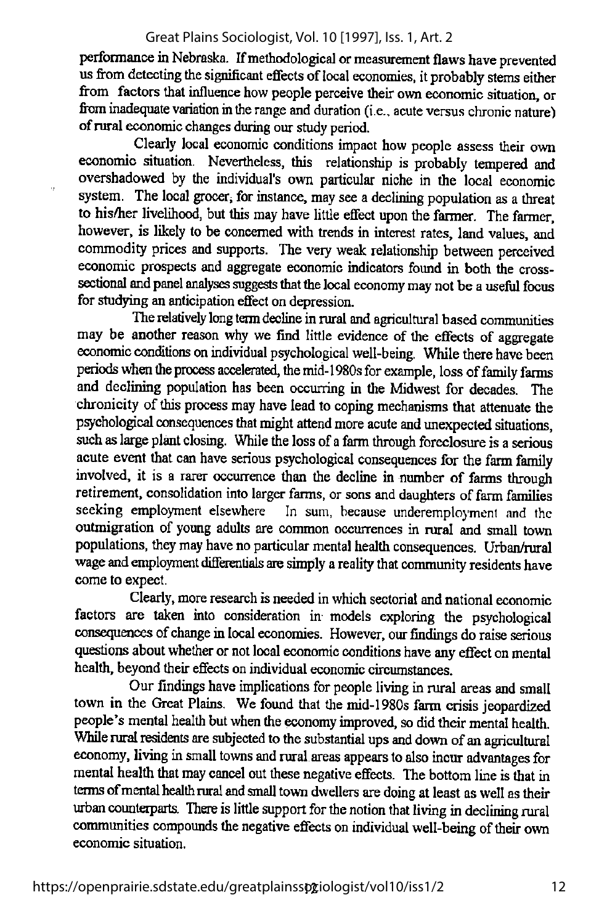performance in Nebraska. If methodological or measurement flaws have prevented us from detecting the significant effects of local economies, it probably stems either from factors that influence how people perceive their own economic situation, or from inadequate variation in the range and duration (i.e., acute versus chronic nature) ofruraleconomic changes during ourstudy period.

Clearly local economic conditions impact how people assess their own economic situation. Nevertheless, this relationship is probably tempered and overshadowed by the individual's own particular niche in the local economic system. The local grocer, for instance, may see a declining population as a threat to his/her livelihood, but this may have little effect upon the farmer. The farmer, however, is likely to be concerned with trends in interest rates, land values, and commodity prices and supports. The very weak relationship between perceived economic prospects and aggregate economic indicators found in both the crosssectional and panel analyses suggests that the local economy may not be a useful focus for studying an anticipation effect on depression.

The relatively long term decline in rural and agricultural based communities may be another reason why we find little evidence of the effects of aggregate economic conditions on individual psychological well-being. While there have been periods when the process accelerated, the mid-1980s for example, loss of family farms and declining population has been occurring in the Midwest for decades. The chronicity of this process may have lead to coping mechanisms that attenuate the psychological consequences that might attend more acute and unexpected situations, such as large plant closing. While the loss of a farm through foreclosure is a serious acute event that can have serious psychological consequences for the farm family involved, it is a rarer occurrence than the decline in number of farms through retirement, consolidation into larger farms, or sons and daughters of farm families seeking employment elsewhere In sum, because underemployment and the outmigration of young adults are common occurrences in rural and small town populations, they may have no particular mental health consequences. Urban/rural wage and employment differentials are simply a reality that community residents have come to expect.

Clearly, more research is needed in which sectorial and national economic factors are taken into consideration in models exploring the psychological consequences of change in local economies. However, our findings do raise serious questions about whether or not local economic conditions have any effect on mental health, beyond their effects on individual economic circumstances.

Our findings have implications for people living in rural areas and small town in the Great Plains. We found that the mid-1980s farm crisis jeopardized people's mental health but when the economy improved, so did their mental health. While rural residents are subjected to the substantial ups and down of an agricultural economy, living in small towns and rural areas appears to also incur advantages for mental health that may cancel out these negative effects. The bottom line is that in terms of mental health rural and small town dwellers are doing at least as well as their urban counterparts. There is little support for the notion that living in declining rural communities compounds the negative effects on individual well-being of their own economic situation.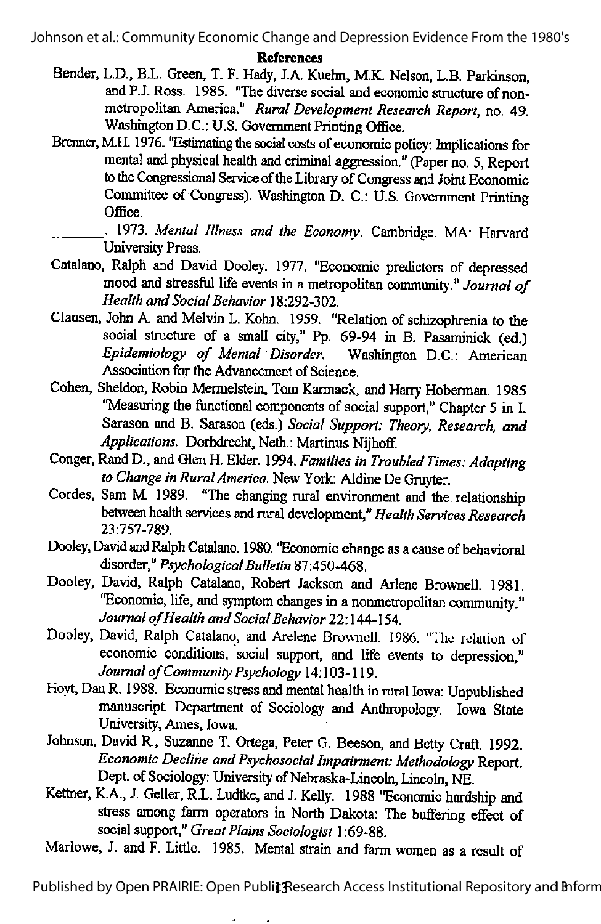#### References

- Bender, L.D., B.L. Green, T. F. Hady, J.A. Kuehn, M.K. Nelson, L.B. Parkinson, and P.J.Ross. 1985. "The diverse social and economic structure of nonmetropolitan America." Rural Development Research Report, no. 49. Washington D.C.: U.S. Government Printing Office.
- Brenner, M.H. 1976. "Estimating the social costs of economic policy: Implications for mental and physical health and criminal aggression." (Paper no. 5, Report to the Congressional Service of the Library of Congress and Joint Economic Committee of Congress). Washington D. C.: U.S. Government Printing Office.
- 1973. Mental Illness and the Economy. Cambridge. MA: Harvard University Press.
- Catalano, Ralph and David Dooley. 1977, "Economic predictors of depressed mood and stressful life events in a metropolitan community." Journal of Health and Social Behavior 18:292-302.
- Clausen, John A. and Melvin L. Kohn. 1959. "Relation of schizophrenia to the social structure of a small city," Pp. 69-94 in B. Pasaminick (ed.) Epidemiology of Mental Disorder. Washington D.C.: American Association for the Advancement of Science.
- Cohen, Sheldon, Robin Mermelstein, Tom Karmack, and Harry Hoberman. 1985 "Measuring the functional components of social support," Chapter 5 in I. Sarason and B. Sarason (eds.) Social Support: Theory, Research, and Applications. Dorhdrecht, Neth.: Martinus Nijhoff.
- Conger, Rand D., and Glen H. Elder. 1994. Families in Troubled Times: Adapting to Change in Rural America. New York: Aldine De Gruyter.
- Cordes, Sam M. 1989. "The changing rural environment and the relationship between health services and rural development," Health Services Research 23:757-789.
- Dooley, David and Ralph Catalano. 1980. "Economic change as a cause of behavioral disorder," Psychological Bulletin 87:450-468.
- Dooley, David, Ralph Catalano, Robert Jackson and Arlene Brownell. 1981. "Economic, life, and symptom changes in a nonmetropolitan community." Journal of Health and Social Behavior 22:144-154.
- Dooley, David, Ralph Catalano, and Arelene Brownell. 1986. "The relation of economic conditions, social support, and life events to depression," Journal of Community Psychology 14:103-119.
- Hovt, Dan R. 1988. Economic stress and mental health in rural Iowa: Unpublished manuscript. Department of Sociology and Anthropology. Iowa State University, Ames, Iowa.
- Johnson. David R., Suzanne T. Ortega, Peter G. Beeson. and Betty Craft. 1992. Economic Decline and Psychosocial Impairment: Methodology Report. Dept. of Sociology: University of Nebraska-Lincoln, Lincoln, NE.
- Kettner, K.A., J. Geller, R.L. Ludtke, and J. Kelly. 1988 "Economic hardship and stress among farm operators in North Dakota: The buffering effect of social support," Great Plains Sociologist 1:69-88.
- Marlowe, J. and F. Little. 1985. Mental strain and farm women as a result of

Published by Open PRAIRIE: Open Publit Research Access Institutional Repository and Inform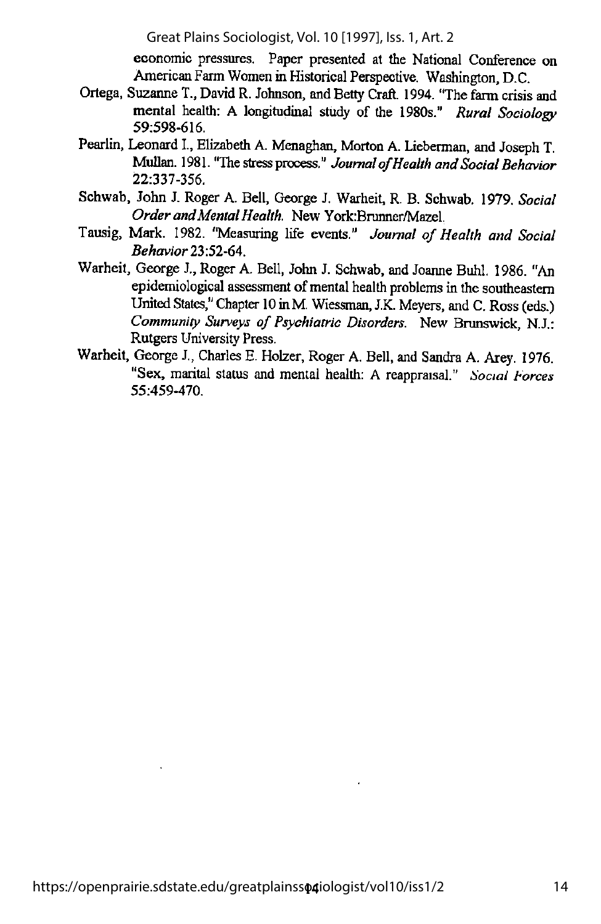economic pressures. Paper presented at the National Conference on American Farm Women in Historical Perspective. Washington, D.C.

- Ortega, Suzanne T., David R. Johnson, and Betty Craft. 1994. "The farm crisis and mental health: A longitudinal study of the 1980s." Rural Sociology 59:598-616.
- Pearlin, Leonard L, Elizabeth A. Menaghan, Morton A. Lieberman, and Joseph T. Mullan. 1981. "The stress process." Journal of Health and Social Behavior 22:337-356.
- Schwab, John J. Roger A. Bell, George J. Warheit, R. B. Schwab. 1979. Social Order and Mental Health. New York:Brunner/Mazel.
- Tausig, Mark. 1982. "Measuring life events." Journal of Health and Social Behavior 23:52-64.
- Warheit, George J., Roger A. Bell, John J. Schwab, and Joanne Buhl. 1986. "An epidemiological assessment of mental health problems in the southeastern United States." Chapter 10 in M. Wiessman, J.K. Meyers, and C. Ross (eds.) Community Surveys of Psychiatric Disorders. New Brunswick, N.J.: Rutgers University Press.
- Warheit, George J., Charles E.Holzer, Roger A. Bell, and Sandra A. Arey. 1976. "Sex, marital status and mental health; A reappraisal." Social Forces 55:459-470.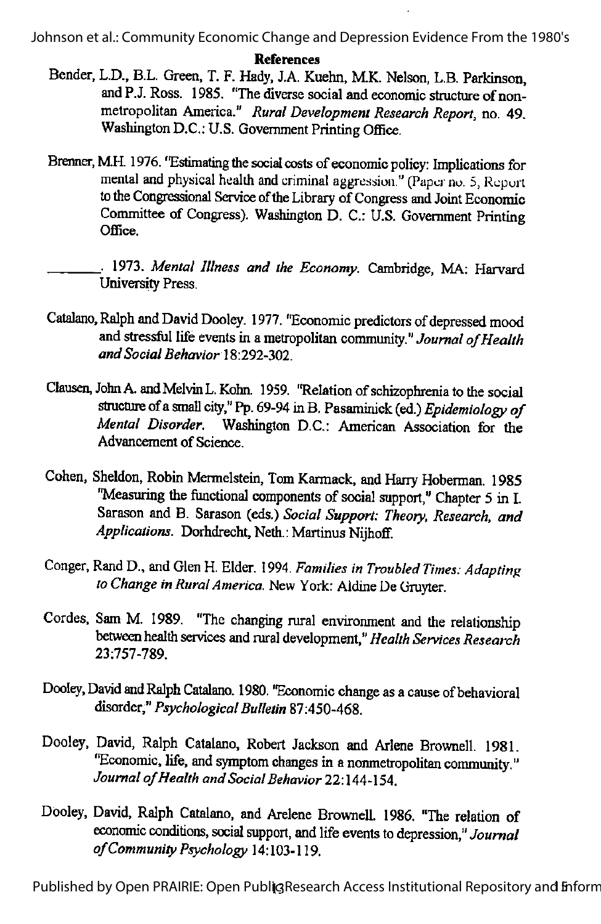References

- Bender. L.D., B.L. Green. T. F. Hady, J.A. Kuehn. M.K. Nelson, L.B. Parkinson, and P.J. Ross. 1985. "The diverse social and economic structure of nonmetropolitan America." Rural Development Research Report, no. 49. Washington D.C.: U.S. Government Printing Office.
- Brenner, M.H. 1976. "Estimating the social costs of economic policy: Implications for mental and physical health and criminal aggression." (Paper no. 5, Report to the Congressional Service of the Library of Congress and Joint Economic Committee of Congress). Washington D. C.: U.S. Government Printing Office.
- 1973. Mental Illness and the Economy. Cambridge, MA; Harvard University Press.
- Catalano, Ralph and David Dooley. 1977. "Economic predictors of depressed mood and stressful life events in a metropolitan community." Journal of Health and Social Behavior 18:292-302
- Clausen, John A. and Melvin L. Kohn. 1959. "Relation of schizophrenia to the social structure of a small city," Pp. 69-94 in B. Pasaminick (ed.) Epidemiology of Mental Disorder. Washington D.C.: American Association for the Advancement of Science.
- Cohen, Sheldon, Robin Mermelstein. Tom Karmack, and Harry Hoberman. 1985 "Measuring the functional components of social support," Chapter 5 in I. Sarason and B. Sarason (eds.) Social Support: Theory, Research, and Applications. Dorhdrecht, Neth.: Martinus Nijhoff.
- Conger, Rand D., and Glen H. Elder. 1994. Families in Troubled Times: Adapting to Change in Rural America. New York: Aldine De Gruvter.
- Cordes, Sam M. 1989. "The changing rural environment and the relationship between health services and rural development," Health Services Research 23:757-789.
- Dooley, David and Ralph Catalano. 1980. "Economic change as a cause of behavioral disorder," Psychological Bulletin 87:450-468.
- Dooley, David, Ralph Catalano. Robert Jackson and Arlene Brownell. 1981. "Economic, life, and symptom changes in a nonmetropolitan community." Journal of Health and Social Behavior 22:144-154.
- Dooley, David, Ralph Catalano, and Arelene Brownell. 1986. "The relation of economic conditions, social support, and life events to depression," Journal ofCommunity Psychology 14:103-119.

Published by Open PRAIRIE: Open Publi<sup>3</sup> Research Access Institutional Repository and Enform